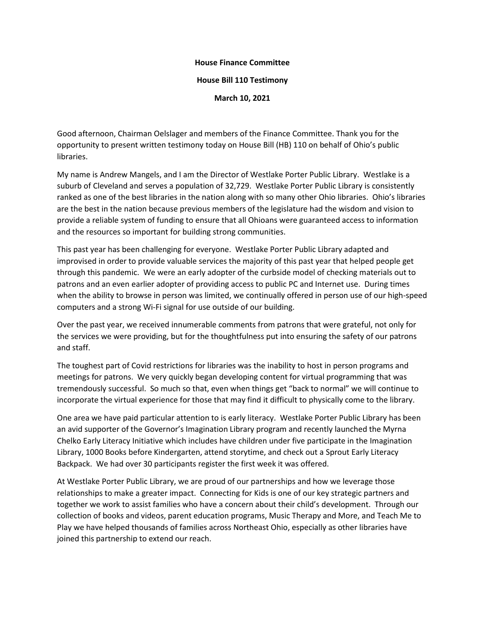## **House Finance Committee**

## **House Bill 110 Testimony**

**March 10, 2021**

Good afternoon, Chairman Oelslager and members of the Finance Committee. Thank you for the opportunity to present written testimony today on House Bill (HB) 110 on behalf of Ohio's public libraries.

My name is Andrew Mangels, and I am the Director of Westlake Porter Public Library. Westlake is a suburb of Cleveland and serves a population of 32,729. Westlake Porter Public Library is consistently ranked as one of the best libraries in the nation along with so many other Ohio libraries. Ohio's libraries are the best in the nation because previous members of the legislature had the wisdom and vision to provide a reliable system of funding to ensure that all Ohioans were guaranteed access to information and the resources so important for building strong communities.

This past year has been challenging for everyone. Westlake Porter Public Library adapted and improvised in order to provide valuable services the majority of this past year that helped people get through this pandemic. We were an early adopter of the curbside model of checking materials out to patrons and an even earlier adopter of providing access to public PC and Internet use. During times when the ability to browse in person was limited, we continually offered in person use of our high-speed computers and a strong Wi-Fi signal for use outside of our building.

Over the past year, we received innumerable comments from patrons that were grateful, not only for the services we were providing, but for the thoughtfulness put into ensuring the safety of our patrons and staff.

The toughest part of Covid restrictions for libraries was the inability to host in person programs and meetings for patrons. We very quickly began developing content for virtual programming that was tremendously successful. So much so that, even when things get "back to normal" we will continue to incorporate the virtual experience for those that may find it difficult to physically come to the library.

One area we have paid particular attention to is early literacy. Westlake Porter Public Library has been an avid supporter of the Governor's Imagination Library program and recently launched the Myrna Chelko Early Literacy Initiative which includes have children under five participate in the Imagination Library, 1000 Books before Kindergarten, attend storytime, and check out a Sprout Early Literacy Backpack. We had over 30 participants register the first week it was offered.

At Westlake Porter Public Library, we are proud of our partnerships and how we leverage those relationships to make a greater impact. Connecting for Kids is one of our key strategic partners and together we work to assist families who have a concern about their child's development. Through our collection of books and videos, parent education programs, Music Therapy and More, and Teach Me to Play we have helped thousands of families across Northeast Ohio, especially as other libraries have joined this partnership to extend our reach.